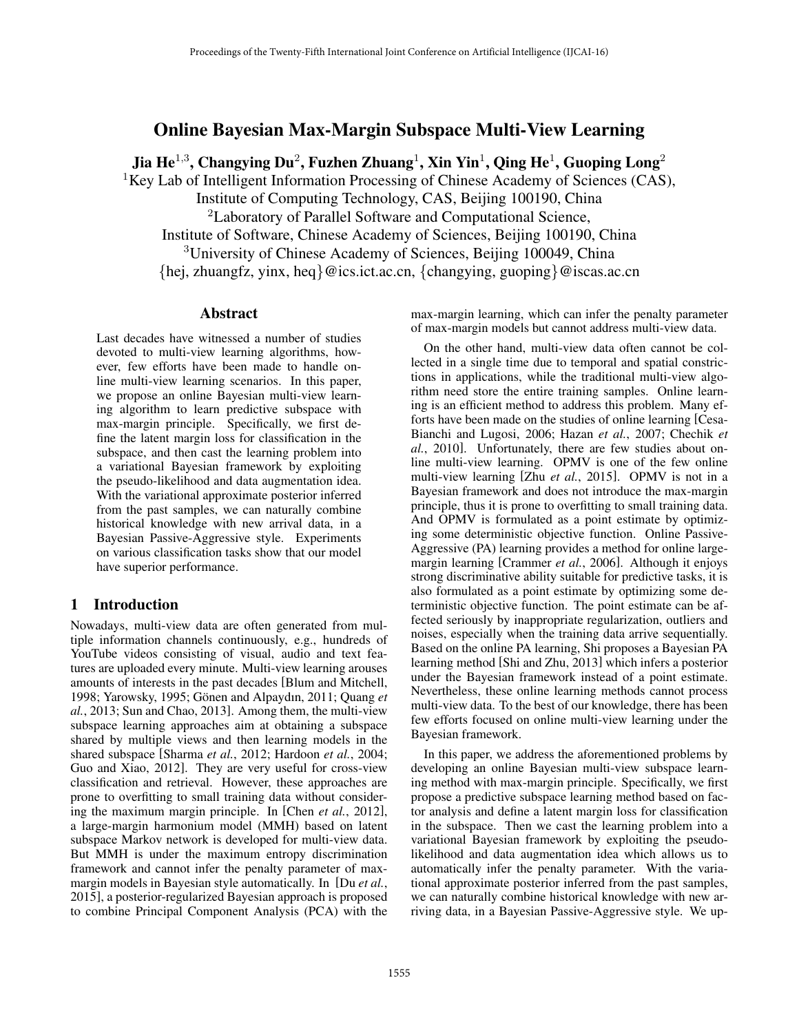# Online Bayesian Max-Margin Subspace Multi-View Learning

Jia He<sup>1,3</sup>, Changying Du<sup>2</sup>, Fuzhen Zhuang<sup>1</sup>, Xin Yin<sup>1</sup>, Qing He<sup>1</sup>, Guoping Long<sup>2</sup>

<sup>1</sup>Key Lab of Intelligent Information Processing of Chinese Academy of Sciences (CAS),

Institute of Computing Technology, CAS, Beijing 100190, China

<sup>2</sup>Laboratory of Parallel Software and Computational Science,

Institute of Software, Chinese Academy of Sciences, Beijing 100190, China

<sup>3</sup>University of Chinese Academy of Sciences, Beijing 100049, China

*{*hej, zhuangfz, yinx, heq*}*@ics.ict.ac.cn, *{*changying, guoping*}*@iscas.ac.cn

### Abstract

Last decades have witnessed a number of studies devoted to multi-view learning algorithms, however, few efforts have been made to handle online multi-view learning scenarios. In this paper, we propose an online Bayesian multi-view learning algorithm to learn predictive subspace with max-margin principle. Specifically, we first define the latent margin loss for classification in the subspace, and then cast the learning problem into a variational Bayesian framework by exploiting the pseudo-likelihood and data augmentation idea. With the variational approximate posterior inferred from the past samples, we can naturally combine historical knowledge with new arrival data, in a Bayesian Passive-Aggressive style. Experiments on various classification tasks show that our model have superior performance.

# 1 Introduction

Nowadays, multi-view data are often generated from multiple information channels continuously, e.g., hundreds of YouTube videos consisting of visual, audio and text features are uploaded every minute. Multi-view learning arouses amounts of interests in the past decades [Blum and Mitchell, 1998; Yarowsky, 1995; Gönen and Alpaydın, 2011; Quang et *al.*, 2013; Sun and Chao, 2013]. Among them, the multi-view subspace learning approaches aim at obtaining a subspace shared by multiple views and then learning models in the shared subspace [Sharma *et al.*, 2012; Hardoon *et al.*, 2004; Guo and Xiao, 2012]. They are very useful for cross-view classification and retrieval. However, these approaches are prone to overfitting to small training data without considering the maximum margin principle. In [Chen *et al.*, 2012], a large-margin harmonium model (MMH) based on latent subspace Markov network is developed for multi-view data. But MMH is under the maximum entropy discrimination framework and cannot infer the penalty parameter of maxmargin models in Bayesian style automatically. In [Du *et al.*, 2015], a posterior-regularized Bayesian approach is proposed to combine Principal Component Analysis (PCA) with the max-margin learning, which can infer the penalty parameter of max-margin models but cannot address multi-view data.

On the other hand, multi-view data often cannot be collected in a single time due to temporal and spatial constrictions in applications, while the traditional multi-view algorithm need store the entire training samples. Online learning is an efficient method to address this problem. Many efforts have been made on the studies of online learning [Cesa-Bianchi and Lugosi, 2006; Hazan *et al.*, 2007; Chechik *et al.*, 2010]. Unfortunately, there are few studies about online multi-view learning. OPMV is one of the few online multi-view learning [Zhu *et al.*, 2015]. OPMV is not in a Bayesian framework and does not introduce the max-margin principle, thus it is prone to overfitting to small training data. And OPMV is formulated as a point estimate by optimizing some deterministic objective function. Online Passive-Aggressive (PA) learning provides a method for online largemargin learning [Crammer *et al.*, 2006]. Although it enjoys strong discriminative ability suitable for predictive tasks, it is also formulated as a point estimate by optimizing some deterministic objective function. The point estimate can be affected seriously by inappropriate regularization, outliers and noises, especially when the training data arrive sequentially. Based on the online PA learning, Shi proposes a Bayesian PA learning method [Shi and Zhu, 2013] which infers a posterior under the Bayesian framework instead of a point estimate. Nevertheless, these online learning methods cannot process multi-view data. To the best of our knowledge, there has been few efforts focused on online multi-view learning under the Bayesian framework.

In this paper, we address the aforementioned problems by developing an online Bayesian multi-view subspace learning method with max-margin principle. Specifically, we first propose a predictive subspace learning method based on factor analysis and define a latent margin loss for classification in the subspace. Then we cast the learning problem into a variational Bayesian framework by exploiting the pseudolikelihood and data augmentation idea which allows us to automatically infer the penalty parameter. With the variational approximate posterior inferred from the past samples, we can naturally combine historical knowledge with new arriving data, in a Bayesian Passive-Aggressive style. We up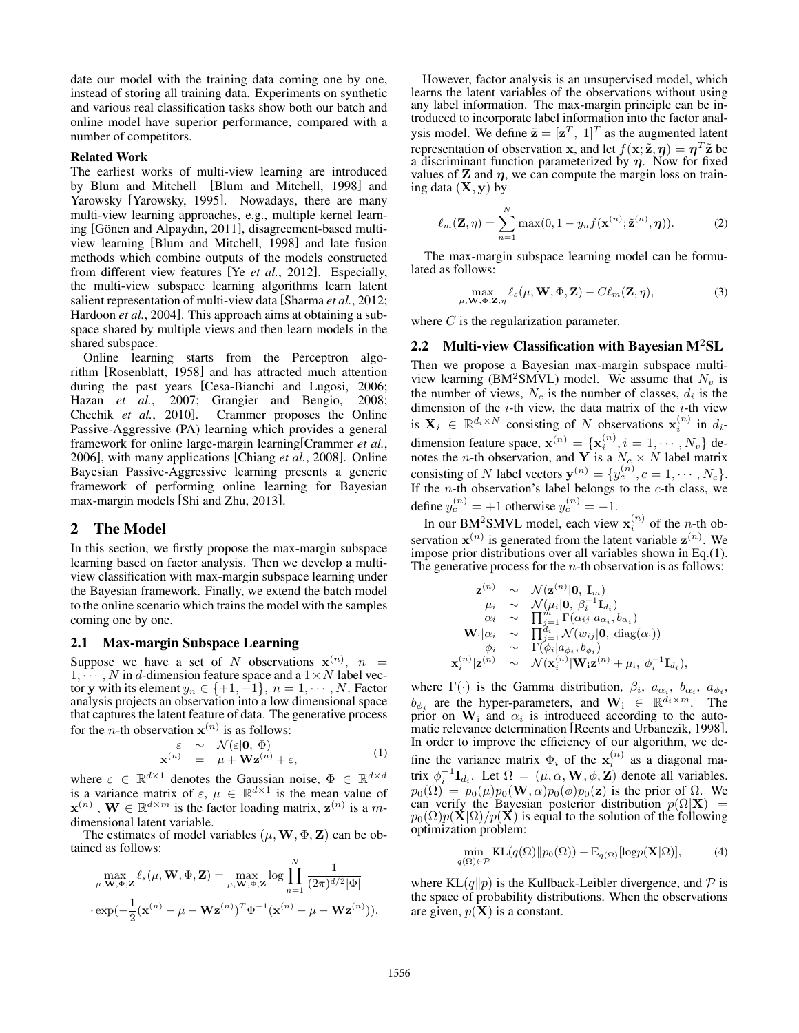date our model with the training data coming one by one, instead of storing all training data. Experiments on synthetic and various real classification tasks show both our batch and online model have superior performance, compared with a number of competitors.

### Related Work

The earliest works of multi-view learning are introduced by Blum and Mitchell [Blum and Mitchell, 1998] and Yarowsky [Yarowsky, 1995]. Nowadays, there are many multi-view learning approaches, e.g., multiple kernel learning [Gönen and Alpaydın, 2011], disagreement-based multiview learning [Blum and Mitchell, 1998] and late fusion methods which combine outputs of the models constructed from different view features [Ye *et al.*, 2012]. Especially, the multi-view subspace learning algorithms learn latent salient representation of multi-view data [Sharma *et al.*, 2012; Hardoon *et al.*, 2004]. This approach aims at obtaining a subspace shared by multiple views and then learn models in the shared subspace.

Online learning starts from the Perceptron algorithm [Rosenblatt, 1958] and has attracted much attention during the past years [Cesa-Bianchi and Lugosi, 2006; Hazan *et al.*, 2007; Grangier and Bengio, 2008; Chechik *et al.*, 2010]. Crammer proposes the Online Passive-Aggressive (PA) learning which provides a general framework for online large-margin learning[Crammer *et al.*, 2006], with many applications [Chiang *et al.*, 2008]. Online Bayesian Passive-Aggressive learning presents a generic framework of performing online learning for Bayesian max-margin models [Shi and Zhu, 2013].

### 2 The Model

In this section, we firstly propose the max-margin subspace learning based on factor analysis. Then we develop a multiview classification with max-margin subspace learning under the Bayesian framework. Finally, we extend the batch model to the online scenario which trains the model with the samples coming one by one.

#### 2.1 Max-margin Subspace Learning

Suppose we have a set of *N* observations  $x^{(n)}$ ,  $n =$ Suppose we have a set of N observations  $\mathbf{x}^{(n)}$ ,  $n = 1, \dots, N$  in *d*-dimension feature space and a  $1 \times N$  label vector **y** with its element  $y_n \in \{+1, -1\}$ ,  $n = 1, \dots, N$ . Factor analysis projects an observation into a low dimensional space that captures the latent feature of data. The generative process for the *n*-th observation  $x^{(n)}$  is as follows:

$$
\varepsilon \sim \mathcal{N}(\varepsilon | \mathbf{0}, \Phi) \mathbf{x}^{(n)} = \mu + \mathbf{W} \mathbf{z}^{(n)} + \varepsilon,
$$
\n(1)

where  $\varepsilon \in \mathbb{R}^{d \times 1}$  denotes the Gaussian noise,  $\Phi \in \mathbb{R}^{d \times d}$ is a variance matrix of  $\varepsilon$ ,  $\mu \in \mathbb{R}^{d \times 1}$  is the mean value of  $\mathbf{x}^{(n)}$ ,  $\mathbf{W} \in \mathbb{R}^{d \times m}$  is the factor loading matrix,  $\mathbf{z}^{(n)}$  is a *m*dimensional latent variable.

The estimates of model variables  $(\mu, \mathbf{W}, \Phi, \mathbf{Z})$  can be obtained as follows:

$$
\max_{\mu, \mathbf{W}, \Phi, \mathbf{Z}} \ell_s(\mu, \mathbf{W}, \Phi, \mathbf{Z}) = \max_{\mu, \mathbf{W}, \Phi, \mathbf{Z}} \log \prod_{n=1}^N \frac{1}{(2\pi)^{d/2} |\Phi|}
$$

$$
\cdot \exp(-\frac{1}{2} (\mathbf{x}^{(n)} - \mu - \mathbf{Wz}^{(n)})^T \Phi^{-1} (\mathbf{x}^{(n)} - \mu - \mathbf{Wz}^{(n)})).
$$

However, factor analysis is an unsupervised model, which learns the latent variables of the observations without using any label information. The max-margin principle can be introduced to incorporate label information into the factor analysis model. We define  $\tilde{\mathbf{z}} = [\mathbf{z}^T, 1]^T$  as the augmented latent representation of observation x, and let  $f(\mathbf{x}; \tilde{\mathbf{z}}, \boldsymbol{\eta}) = \boldsymbol{\eta}^T \tilde{\mathbf{z}}$  be a discriminant function parameterized by  $\eta$ . Now for fixed values of  $Z$  and  $\eta$ , we can compute the margin loss on training data (X*,* y) by

$$
\ell_m(\mathbf{Z}, \boldsymbol{\eta}) = \sum_{n=1}^N \max(0, 1 - y_n f(\mathbf{x}^{(n)}; \tilde{\mathbf{z}}^{(n)}, \boldsymbol{\eta})).
$$
 (2)

The max-margin subspace learning model can be formulated as follows:

$$
\max_{\mu, \mathbf{W}, \Phi, \mathbf{Z}, \eta} \ell_s(\mu, \mathbf{W}, \Phi, \mathbf{Z}) - C \ell_m(\mathbf{Z}, \eta),
$$
\n(3)

where *C* is the regularization parameter.

#### 2.2 Multi-view Classification with Bayesian  $M<sup>2</sup>SL$

Then we propose a Bayesian max-margin subspace multiview learning (BM<sup>2</sup>SMVL) model. We assume that  $N_v$  is the number of views,  $N_c$  is the number of classes,  $d_i$  is the dimension of the *i*-th view, the data matrix of the *i*-th view is  $\mathbf{X}_i \in \mathbb{R}^{d_i \times N}$  consisting of *N* observations  $\mathbf{x}_i^{(n)}$  in  $d_i$ dimension feature space,  $\mathbf{x}^{(n)} = {\mathbf{x}_i^{(n)}, i = 1, \cdots, N_v}$  denotes the *n*-th observation, and **Y** is a  $N_c \times N$  label matrix consisting of *N* label vectors  $\mathbf{y}^{(n)} = \{y_c^{(n)}, c = 1, \dots, N_c\}$ .<br>If the *n*-th observation's label belongs to the *c*-th class, we define  $y_c^{(n)} = +1$  otherwise  $y_c^{(n)} = -1$ .

In our BM<sup>2</sup>SMVL model, each view  $\mathbf{x}_i^{(n)}$  of the *n*-th observation  $\mathbf{x}^{(n)}$  is generated from the latent variable  $\mathbf{z}^{(n)}$ . We impose prior distributions over all variables shown in Eq.(1). The generative process for the *n*-th observation is as follows:

$$
\begin{array}{ccl} \mathbf{z}^{(n)} & \sim & \mathcal{N}(\mathbf{z}^{(n)}|\mathbf{0},\,\mathbf{I}_m) \\ & \mu_i & \sim & \mathcal{N}(\mu_i|\mathbf{0},\,\beta_i^{-1}\mathbf{I}_{d_i}) \\ & \alpha_i & \sim & \prod_{j=1}^m \Gamma(\alpha_{ij}|a_{\alpha_i},b_{\alpha_i}) \\ \mathbf{W}_i|\alpha_i & \sim & \prod_{j=1}^{d_i} \mathcal{N}(w_{ij}|\mathbf{0},\,\mathrm{diag}(\alpha_i)) \\ & \phi_i & \sim & \Gamma(\phi_i|a_{\phi_i},b_{\phi_i}) \\ \mathbf{x}_i^{(n)}|\mathbf{z}^{(n)} & \sim & \mathcal{N}(\mathbf{x}_i^{(n)}|\mathbf{W}_\mathbf{i}\mathbf{z}^{(n)}+\mu_i,\,\phi_i^{-1}\mathbf{I}_{d_i}), \end{array}
$$

where  $\Gamma(\cdot)$  is the Gamma distribution,  $\beta_i$ ,  $a_{\alpha_i}$ ,  $b_{\alpha_i}$ ,  $a_{\phi_i}$ ,  $b_{\phi_i}$  are the hyper-parameters, and  $\mathbf{W}_i \in \mathbb{R}^{d_i \times m}$ . The prior on  $W_i$  and  $\alpha_i$  is introduced according to the automatic relevance determination [Reents and Urbanczik, 1998]. In order to improve the efficiency of our algorithm, we define the variance matrix  $\Phi_i$  of the  $\mathbf{x}_i^{(n)}$  as a diagonal matrix  $\phi_i^{-1} \mathbf{I}_{d_i}$ . Let  $\Omega = (\mu, \alpha, \mathbf{W}, \phi, \mathbf{Z})$  denote all variables.  $p_0(\Omega) = p_0(\mu)p_0(\mathbf{W}, \alpha)p_0(\phi)p_0(\mathbf{z})$  is the prior of  $\Omega$ . We can verify the Bayesian posterior distribution  $p(\Omega|\mathbf{X})$  =  $p_0(\Omega)p(\mathbf{X}|\Omega)/p(\mathbf{X})$  is equal to the solution of the following optimization problem:

$$
\min_{q(\Omega)\in\mathcal{P}} \mathrm{KL}(q(\Omega) \| p_0(\Omega)) - \mathbb{E}_{q(\Omega)}[\mathrm{log}p(\mathbf{X}|\Omega)],\tag{4}
$$

where  $KL(q||p)$  is the Kullback-Leibler divergence, and  $P$  is the space of probability distributions. When the observations are given,  $p(X)$  is a constant.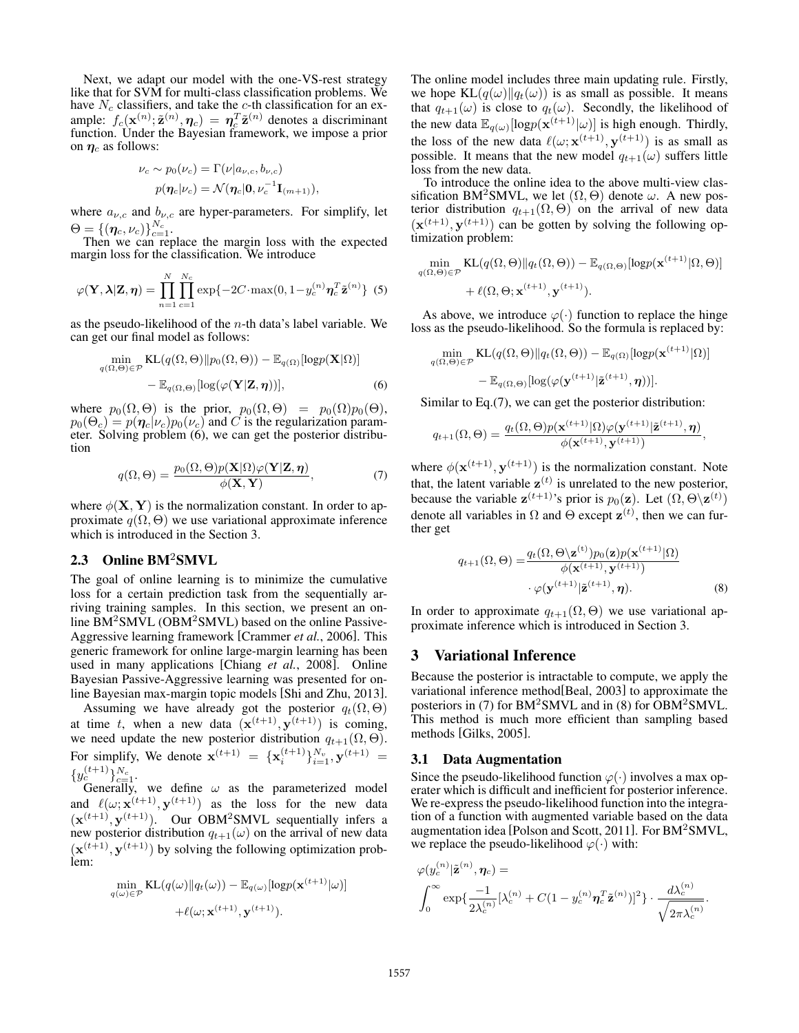Next, we adapt our model with the one-VS-rest strategy like that for SVM for multi-class classification problems. We have  $N_c$  classifiers, and take the *c*-th classification for an example:  $f_c(\mathbf{x}^{(n)}; \tilde{\mathbf{z}}^{(n)}, \boldsymbol{\eta}_c) = \boldsymbol{\eta}_c^T \tilde{\mathbf{z}}^{(n)}$  denotes a discriminant function. Under the Bayesian framework, we impose a prior on  $\eta_c$  as follows:

$$
\nu_c \sim p_0(\nu_c) = \Gamma(\nu|a_{\nu,c}, b_{\nu,c})
$$
  
 
$$
p(\eta_c|\nu_c) = \mathcal{N}(\eta_c|\mathbf{0}, \nu_c^{-1}\mathbf{I}_{(m+1)}),
$$

where  $a_{\nu,c}$  and  $b_{\nu,c}$  are hyper-parameters. For simplify, let  $\Theta = \{(\eta_c, \nu_c)\}_{c=1}^{N_c}$ .<br>Then we can replace the margin loss with the expected

margin loss for the classification. We introduce

$$
\varphi(\mathbf{Y}, \lambda | \mathbf{Z}, \boldsymbol{\eta}) = \prod_{n=1}^{N} \prod_{c=1}^{N_c} \exp\{-2C \cdot \max(0, 1 - y_c^{(n)} \boldsymbol{\eta}_c^T \tilde{\mathbf{z}}^{(n)}\} \tag{5}
$$

as the pseudo-likelihood of the *n*-th data's label variable. We can get our final model as follows:

$$
\min_{q(\Omega,\Theta)\in\mathcal{P}} \mathrm{KL}(q(\Omega,\Theta) \| p_0(\Omega,\Theta)) - \mathbb{E}_{q(\Omega)}[\mathrm{log}p(\mathbf{X}|\Omega)]
$$
  
 
$$
- \mathbb{E}_{q(\Omega,\Theta)}[\mathrm{log}(\varphi(\mathbf{Y}|\mathbf{Z},\boldsymbol{\eta}))], \qquad (6)
$$

where  $p_0(\Omega, \Theta)$  is the prior,  $p_0(\Omega, \Theta) = p_0(\Omega)p_0(\Theta)$ ,  $p_0(\Theta_c) = p(\eta_c|\nu_c)p_0(\nu_c)$  and *C* is the regularization parameter. Solving problem (6), we can get the posterior distribution

$$
q(\Omega, \Theta) = \frac{p_0(\Omega, \Theta)p(\mathbf{X}|\Omega)\varphi(\mathbf{Y}|\mathbf{Z}, \boldsymbol{\eta})}{\phi(\mathbf{X}, \mathbf{Y})},
$$
(7)

where  $\phi(\mathbf{X}, \mathbf{Y})$  is the normalization constant. In order to approximate  $q(\Omega, \Theta)$  we use variational approximate inference which is introduced in the Section 3.

# 2.3 Online BM2SMVL

The goal of online learning is to minimize the cumulative loss for a certain prediction task from the sequentially arriving training samples. In this section, we present an online  $BM^2SMVL$  (OBM $^2SMVL$ ) based on the online Passive-Aggressive learning framework [Crammer *et al.*, 2006]. This generic framework for online large-margin learning has been used in many applications [Chiang *et al.*, 2008]. Online Bayesian Passive-Aggressive learning was presented for online Bayesian max-margin topic models [Shi and Zhu, 2013].

Assuming we have already got the posterior  $q_t(\Omega, \Theta)$ at time *t*, when a new data  $(\mathbf{x}^{(t+1)}, \mathbf{y}^{(t+1)})$  is coming, we need update the new posterior distribution  $q_{t+1}(\Omega, \Theta)$ . For simplify, We denote  $\mathbf{x}^{(t+1)} = {\mathbf{x}_i^{(t+1)}}_{i=1}^{N_v}, \mathbf{y}^{(t+1)} = {\mathbf{x}_i^{(t+1)}}$  ${y_c^{(t+1)}\}_{c=1}^{N_c}.$ 

Generally, we define  $\omega$  as the parameterized model and  $\ell(\omega; \mathbf{x}^{(t+1)}, \mathbf{y}^{(t+1)})$  as the loss for the new data  $(\mathbf{x}^{(t+1)}, \mathbf{y}^{(t+1)})$ . Our OBM<sup>2</sup>SMVL sequentially infers a new posterior distribution  $q_{t+1}(\omega)$  on the arrival of new data  $(\mathbf{x}^{(t+1)}, \mathbf{y}^{(t+1)})$  by solving the following optimization problem:

$$
\min_{q(\omega)\in\mathcal{P}} \mathrm{KL}(q(\omega)\|q_t(\omega)) - \mathbb{E}_{q(\omega)}[\mathrm{log}p(\mathbf{x}^{(t+1)}|\omega)]
$$

$$
+ \ell(\omega; \mathbf{x}^{(t+1)}, \mathbf{y}^{(t+1)}).
$$

The online model includes three main updating rule. Firstly, we hope  $KL(q(\omega)||q_t(\omega))$  is as small as possible. It means that  $q_{t+1}(\omega)$  is close to  $q_t(\omega)$ . Secondly, the likelihood of the new data  $\mathbb{E}_{q(\omega)}[\log p(\mathbf{x}^{(t+1)}|\omega)]$  is high enough. Thirdly, the loss of the new data  $\ell(\omega; \mathbf{x}^{(t+1)}, \mathbf{y}^{(t+1)})$  is as small as possible. It means that the new model  $q_{t+1}(\omega)$  suffers little loss from the new data.

To introduce the online idea to the above multi-view classification BM<sup>2</sup>SMVL, we let  $(\Omega, \Theta)$  denote  $\omega$ . A new posterior distribution  $q_{t+1}(\Omega, \Theta)$  on the arrival of new data  $(\mathbf{x}^{(t+1)}, \mathbf{y}^{(t+1)})$  can be gotten by solving the following optimization problem:

$$
\min_{q(\Omega,\Theta)\in\mathcal{P}} \mathrm{KL}(q(\Omega,\Theta)||q_t(\Omega,\Theta)) - \mathbb{E}_{q(\Omega,\Theta)}[\mathrm{log}p(\mathbf{x}^{(t+1)}|\Omega,\Theta)] + \ell(\Omega,\Theta;\mathbf{x}^{(t+1)},\mathbf{y}^{(t+1)}).
$$

As above, we introduce  $\varphi(\cdot)$  function to replace the hinge loss as the pseudo-likelihood. So the formula is replaced by:

$$
\min_{q(\Omega,\Theta)\in\mathcal{P}} \text{KL}(q(\Omega,\Theta)||q_t(\Omega,\Theta)) - \mathbb{E}_{q(\Omega)}[\log p(\mathbf{x}^{(t+1)}|\Omega)] - \mathbb{E}_{q(\Omega,\Theta)}[\log(\varphi(\mathbf{y}^{(t+1)}|\tilde{\mathbf{z}}^{(t+1)},\boldsymbol{\eta}))].
$$

Similar to Eq.(7), we can get the posterior distribution:

$$
q_{t+1}(\Omega,\Theta) = \frac{q_t(\Omega,\Theta)p(\mathbf{x}^{(t+1)}|\Omega)\varphi(\mathbf{y}^{(t+1)}|\tilde{\mathbf{z}}^{(t+1)},\boldsymbol{\eta})}{\phi(\mathbf{x}^{(t+1)},\mathbf{y}^{(t+1)})},
$$

where  $\phi(\mathbf{x}^{(t+1)}, \mathbf{y}^{(t+1)})$  is the normalization constant. Note that, the latent variable  $z^{(t)}$  is unrelated to the new posterior, because the variable  $\mathbf{z}^{(t+1)}$ 's prior is  $p_0(\mathbf{z})$ . Let  $(\Omega, \Theta \setminus \mathbf{z}^{(t)})$ denote all variables in  $\Omega$  and  $\Theta$  except  $\mathbf{z}^{(t)}$ , then we can further get

$$
q_{t+1}(\Omega, \Theta) = \frac{q_t(\Omega, \Theta \setminus \mathbf{z}^{(t)}) p_0(\mathbf{z}) p(\mathbf{x}^{(t+1)} | \Omega)}{\phi(\mathbf{x}^{(t+1)}, \mathbf{y}^{(t+1)})} \cdot \varphi(\mathbf{y}^{(t+1)} | \mathbf{\tilde{z}}^{(t+1)}, \boldsymbol{\eta}).
$$
\n(8)

In order to approximate  $q_{t+1}(\Omega, \Theta)$  we use variational approximate inference which is introduced in Section 3.

### 3 Variational Inference

Because the posterior is intractable to compute, we apply the variational inference method[Beal, 2003] to approximate the posteriors in (7) for BM<sup>2</sup>SMVL and in (8) for OBM<sup>2</sup>SMVL. This method is much more efficient than sampling based methods [Gilks, 2005].

#### 3.1 Data Augmentation

Since the pseudo-likelihood function  $\varphi(\cdot)$  involves a max operater which is difficult and inefficient for posterior inference. We re-express the pseudo-likelihood function into the integration of a function with augmented variable based on the data augmentation idea [Polson and Scott, 2011]. For BM<sup>2</sup>SMVL, we replace the pseudo-likelihood  $\varphi(\cdot)$  with:

$$
\varphi(y_c^{(n)}|\tilde{\mathbf{z}}^{(n)}, \boldsymbol{\eta}_c) =
$$
\n
$$
\int_0^\infty \exp\left\{\frac{-1}{2\lambda_c^{(n)}}[\lambda_c^{(n)} + C(1 - y_c^{(n)}\boldsymbol{\eta}_c^T\tilde{\mathbf{z}}^{(n)})]^2\right\} \cdot \frac{d\lambda_c^{(n)}}{\sqrt{2\pi\lambda_c^{(n)}}}.
$$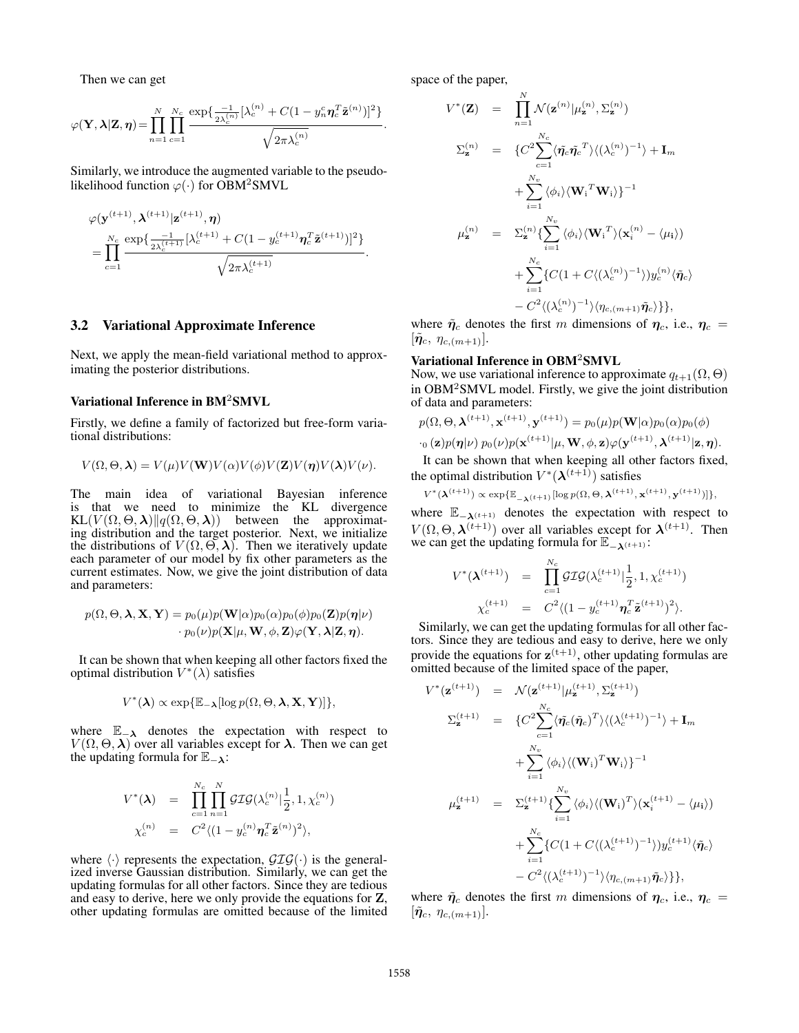Then we can get

$$
\varphi(\mathbf{Y},\boldsymbol{\lambda}|\mathbf{Z},\boldsymbol{\eta}) = \prod_{n=1}^N \prod_{c=1}^{N_c} \frac{\exp\{\frac{-1}{2\lambda_c^{(n)}}[\lambda_c^{(n)} + C(1-y_n^c\boldsymbol{\eta}_c^T\tilde{\mathbf{z}}^{(n)})]^2\}}{\sqrt{2\pi\lambda_c^{(n)}}}
$$

Similarly, we introduce the augmented variable to the pseudolikelihood function  $\varphi(\cdot)$  for OBM<sup>2</sup>SMVL

$$
\varphi(\mathbf{y}^{(t+1)}, \boldsymbol{\lambda}^{(t+1)} | \mathbf{z}^{(t+1)}, \boldsymbol{\eta}) = \prod_{c=1}^{N_c} \frac{\exp\{\frac{-1}{2\lambda_c^{(t+1)}} [\lambda_c^{(t+1)} + C(1 - y_c^{(t+1)} \boldsymbol{\eta}_c^T \tilde{\mathbf{z}}^{(t+1)})]^2\}}{\sqrt{2\pi \lambda_c^{(t+1)}}}.
$$

### 3.2 Variational Approximate Inference

Next, we apply the mean-field variational method to approximating the posterior distributions.

### Variational Inference in BM<sup>2</sup>SMVL

Firstly, we define a family of factorized but free-form variational distributions:

$$
V(\Omega, \Theta, \lambda) = V(\mu)V(\mathbf{W})V(\alpha)V(\phi)V(\mathbf{Z})V(\boldsymbol{\eta})V(\lambda)V(\nu).
$$

The main idea of variational Bayesian inference is that we need to minimize the KL divergence  $KL(V(\Omega, \Theta, \lambda) || q(\Omega, \Theta, \lambda))$  between the approximating distribution and the target posterior. Next, we initialize the distributions of  $V(\Omega, \Theta, \lambda)$ . Then we iteratively update each parameter of our model by fix other parameters as the current estimates. Now, we give the joint distribution of data and parameters:

$$
p(\Omega,\Theta,\boldsymbol{\lambda},\mathbf{X},\mathbf{Y})=p_0(\mu)p(\mathbf{W}|\alpha)p_0(\alpha)p_0(\phi)p_0(\mathbf{Z})p(\boldsymbol{\eta}|\nu)\\
\cdot p_0(\nu)p(\mathbf{X}|\mu,\mathbf{W},\phi,\mathbf{Z})\varphi(\mathbf{Y},\boldsymbol{\lambda}|\mathbf{Z},\boldsymbol{\eta}).
$$

It can be shown that when keeping all other factors fixed the optimal distribution  $V^*(\lambda)$  satisfies

$$
V^*(\boldsymbol{\lambda}) \propto \exp{\mathbb{E}_{-\boldsymbol{\lambda}}[\log p(\Omega, \Theta, \boldsymbol{\lambda}, \mathbf{X}, \mathbf{Y})]\},\
$$

where  $\mathbb{E}_{-\lambda}$  denotes the expectation with respect to  $V(\Omega, \Theta, \lambda)$  over all variables except for  $\lambda$ . Then we can get the updating formula for  $\mathbb{E}_{-\lambda}$ :

$$
V^*(\boldsymbol{\lambda}) = \prod_{c=1}^{N_c} \prod_{n=1}^N \mathcal{GIG}(\lambda_c^{(n)} | \frac{1}{2}, 1, \chi_c^{(n)})
$$
  

$$
\chi_c^{(n)} = C^2 \langle (1 - y_c^{(n)} \boldsymbol{\eta}_c^T \tilde{\mathbf{z}}^{(n)})^2 \rangle,
$$

where  $\langle \cdot \rangle$  represents the expectation,  $\mathcal{GIG}(\cdot)$  is the generalized inverse Gaussian distribution. Similarly, we can get the updating formulas for all other factors. Since they are tedious and easy to derive, here we only provide the equations for Z, other updating formulas are omitted because of the limited space of the paper,

*.*

$$
V^*(\mathbf{Z}) = \prod_{n=1}^N \mathcal{N}(\mathbf{z}^{(n)} | \mu_{\mathbf{z}}^{(n)}, \Sigma_{\mathbf{z}}^{(n)})
$$
  
\n
$$
\Sigma_{\mathbf{z}}^{(n)} = \{ C^2 \sum_{c=1}^{N_c} \langle \tilde{\eta}_c \tilde{\eta}_c^T \rangle \langle (\lambda_c^{(n)})^{-1} \rangle + \mathbf{I}_m
$$
  
\n
$$
+ \sum_{i=1}^{N_v} \langle \phi_i \rangle \langle \mathbf{W}_i^T \mathbf{W}_i \rangle \}^{-1}
$$
  
\n
$$
\mu_{\mathbf{z}}^{(n)} = \Sigma_{\mathbf{z}}^{(n)} \{ \sum_{i=1}^{N_v} \langle \phi_i \rangle \langle \mathbf{W}_i^T \rangle (\mathbf{x}_i^{(n)} - \langle \mu_i \rangle) + \sum_{i=1}^{N_c} \{ C(1 + C \langle (\lambda_c^{(n)})^{-1} \rangle) y_c^{(n)} \langle \tilde{\eta}_c \rangle - C^2 \langle (\lambda_c^{(n)})^{-1} \rangle \langle \eta_{c,(m+1)} \tilde{\eta}_c \rangle \},
$$

where  $\tilde{\eta}_c$  denotes the first *m* dimensions of  $\eta_c$ , i.e.,  $\eta_c$  =  $[\tilde{\eta}_c, \eta_{c,(m+1)}].$ 

#### Variational Inference in OBM<sup>2</sup>SMVL

Now, we use variational inference to approximate  $q_{t+1}(\Omega, \Theta)$ in OBM<sup>2</sup>SMVL model. Firstly, we give the joint distribution of data and parameters:

$$
p(\Omega, \Theta, \boldsymbol{\lambda}^{(t+1)}, \mathbf{x}^{(t+1)}, \mathbf{y}^{(t+1)}) = p_0(\mu) p(\mathbf{W}|\alpha) p_0(\alpha) p_0(\phi)
$$
  
•
$$
\cdot_0 (\mathbf{z}) p(\boldsymbol{\eta}|\nu) p_0(\nu) p(\mathbf{x}^{(t+1)}|\mu, \mathbf{W}, \phi, \mathbf{z}) \varphi(\mathbf{y}^{(t+1)}, \boldsymbol{\lambda}^{(t+1)}|\mathbf{z}, \boldsymbol{\eta}).
$$

It can be shown that when keeping all other factors fixed, the optimal distribution  $V^*(\lambda^{(t+1)})$  satisfies

$$
V^*(\boldsymbol{\lambda}^{(t+1)}) \propto \exp{\mathbb{E}_{-\boldsymbol{\lambda}^{(t+1)}}[\log p(\Omega, \Theta, \boldsymbol{\lambda}^{(t+1)}, \mathbf{x}^{(t+1)}, \mathbf{y}^{(t+1)})]\},
$$

where  $\mathbb{E}_{-\lambda^{(t+1)}}$  denotes the expectation with respect to  $V(\Omega, \Theta, \lambda^{(t+1)})$  over all variables except for  $\lambda^{(t+1)}$ . Then we can get the updating formula for  $\mathbb{E}_{-\lambda^{(t+1)}}$ :

$$
V^*(\boldsymbol{\lambda}^{(t+1)}) = \prod_{c=1}^{N_c} \mathcal{GIG}(\lambda_c^{(t+1)} | \frac{1}{2}, 1, \chi_c^{(t+1)})
$$
  

$$
\chi_c^{(t+1)} = C^2 \langle (1 - y_c^{(t+1)} \boldsymbol{\eta}_c^T \tilde{\mathbf{z}}^{(t+1)})^2 \rangle.
$$

Similarly, we can get the updating formulas for all other factors. Since they are tedious and easy to derive, here we only provide the equations for  $z^{(t+1)}$ , other updating formulas are omitted because of the limited space of the paper,

$$
V^*(\mathbf{z}^{(t+1)}) = \mathcal{N}(\mathbf{z}^{(t+1)} | \mu_{\mathbf{z}}^{(t+1)}, \Sigma_{\mathbf{z}}^{(t+1)})
$$
  
\n
$$
\Sigma_{\mathbf{z}}^{(t+1)} = \{C^2 \sum_{c=1}^{N_c} \langle \tilde{\eta}_c(\tilde{\eta}_c)^T \rangle \langle (\lambda_c^{(t+1)})^{-1} \rangle + \mathbf{I}_m
$$
  
\n
$$
+ \sum_{i=1}^{N_v} \langle \phi_i \rangle \langle (\mathbf{W}_i)^T \mathbf{W}_i \rangle \}^{-1}
$$
  
\n
$$
\mu_{\mathbf{z}}^{(t+1)} = \Sigma_{\mathbf{z}}^{(t+1)} \{ \sum_{i=1}^{N_v} \langle \phi_i \rangle \langle (\mathbf{W}_i)^T \rangle (\mathbf{x}_i^{(t+1)} - \langle \mu_i \rangle)
$$
  
\n
$$
+ \sum_{i=1}^{N_c} \{ C(1 + C \langle (\lambda_c^{(t+1)})^{-1} \rangle) y_c^{(t+1)} \langle \tilde{\eta}_c \rangle
$$
  
\n
$$
- C^2 \langle (\lambda_c^{(t+1)})^{-1} \rangle \langle \eta_{c,(m+1)} \tilde{\eta}_c \rangle \},
$$

where  $\tilde{\eta}_c$  denotes the first *m* dimensions of  $\eta_c$ , i.e.,  $\eta_c$  =  $[\tilde{\eta}_c, \eta_{c,(m+1)}].$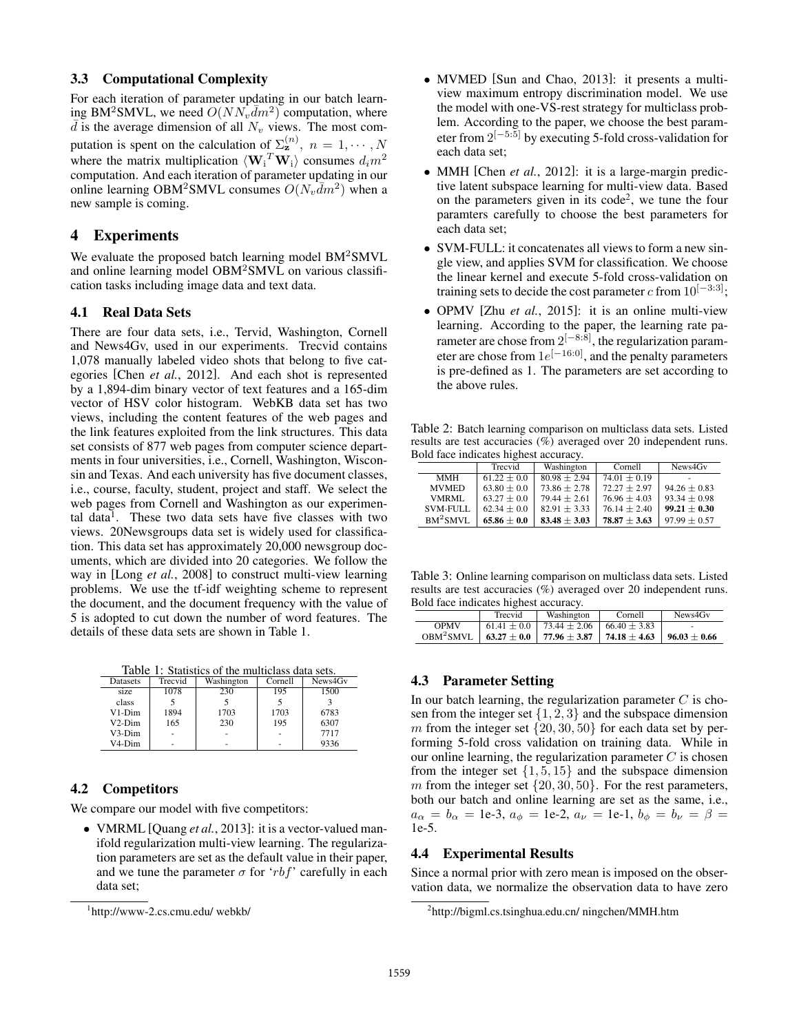### 3.3 Computational Complexity

For each iteration of parameter updating in our batch learning BM<sup>2</sup>SMVL, we need  $O(NN_v \bar{d}m^2)$  computation, where  $\bar{d}$  is the average dimension of all N<sub>*v*</sub> views. The most com- $\overline{d}$  is the average dimension of all  $N_v$  views. The most computation is spent on the calculation of  $\Sigma^{(n)}_{\mathbf{z}}$ ,  $n = 1, \cdots, N$ where the matrix multiplication  $\langle \mathbf{W}_i^T \mathbf{W}_i \rangle$  consumes  $d_i m^2$ computation. And each iteration of parameter updating in our online learning OBM<sup>2</sup>SMVL consumes  $O(N_v \overline{d}m^2)$  when a new sample is coming.

# 4 Experiments

We evaluate the proposed batch learning model BM<sup>2</sup>SMVL and online learning model OBM<sup>2</sup>SMVL on various classification tasks including image data and text data.

# 4.1 Real Data Sets

There are four data sets, i.e., Tervid, Washington, Cornell and News4Gv, used in our experiments. Trecvid contains 1,078 manually labeled video shots that belong to five categories [Chen *et al.*, 2012]. And each shot is represented by a 1,894-dim binary vector of text features and a 165-dim vector of HSV color histogram. WebKB data set has two views, including the content features of the web pages and the link features exploited from the link structures. This data set consists of 877 web pages from computer science departments in four universities, i.e., Cornell, Washington, Wisconsin and Texas. And each university has five document classes, i.e., course, faculty, student, project and staff. We select the web pages from Cornell and Washington as our experimental data<sup>1</sup>. These two data sets have five classes with two views. 20Newsgroups data set is widely used for classification. This data set has approximately 20,000 newsgroup documents, which are divided into 20 categories. We follow the way in [Long *et al.*, 2008] to construct multi-view learning problems. We use the tf-idf weighting scheme to represent the document, and the document frequency with the value of 5 is adopted to cut down the number of word features. The details of these data sets are shown in Table 1.

Table 1: Statistics of the multiclass data sets.

| Datasets | Trecvid | Washington | Cornell | News4Gv |
|----------|---------|------------|---------|---------|
| size     | 1078    | 230        | 195     | 1500    |
| class    |         |            |         |         |
| V1-Dim   | 1894    | 1703       | 1703    | 6783    |
| $V2-Dim$ | 165     | 230        | 195     | 6307    |
| $V3-Dim$ | ٠       | ٠          |         | 7717    |
| V4-Dim   |         |            |         | 9336    |

# 4.2 Competitors

We compare our model with five competitors:

*•* VMRML [Quang *et al.*, 2013]: it is a vector-valued manifold regularization multi-view learning. The regularization parameters are set as the default value in their paper, and we tune the parameter  $\sigma$  for '*rbf*' carefully in each data set;

- *•* MVMED [Sun and Chao, 2013]: it presents a multiview maximum entropy discrimination model. We use the model with one-VS-rest strategy for multiclass problem. According to the paper, we choose the best parameter from  $2[-5.5]$  by executing 5-fold cross-validation for each data set;
- *•* MMH [Chen *et al.*, 2012]: it is a large-margin predictive latent subspace learning for multi-view data. Based on the parameters given in its code<sup>2</sup>, we tune the four paramters carefully to choose the best parameters for each data set;
- *•* SVM-FULL: it concatenates all views to form a new single view, and applies SVM for classification. We choose the linear kernel and execute 5-fold cross-validation on training sets to decide the cost parameter *c* from  $10^{[-3:3]};$
- *•* OPMV [Zhu *et al.*, 2015]: it is an online multi-view learning. According to the paper, the learning rate parameter are chose from  $2^{[-8:8]}$ , the regularization parameter are chose from  $1e^{[-16:0]}$ , and the penalty parameters is pre-defined as 1. The parameters are set according to the above rules.

Table 2: Batch learning comparison on multiclass data sets. Listed results are test accuracies (%) averaged over 20 independent runs. Bold face indicates highest accuracy.

|                       | Trecvid         | Washington       | Cornell          | News4Gv          |
|-----------------------|-----------------|------------------|------------------|------------------|
| <b>MMH</b>            | $61.22 \pm 0.0$ | $80.98 + 2.94$   | $74.01 + 0.19$   |                  |
| <b>MVMED</b>          | $63.80 + 0.0$   | $73.86 + 2.78$   | $72.27 + 2.97$   | $94.26 \pm 0.83$ |
| VMRML                 | $63.27 \pm 0.0$ | $79.44 + 2.61$   | $76.96 + 4.03$   | $93.34 + 0.98$   |
| <b>SVM-FULL</b>       | $62.34 + 0.0$   | $82.91 + 3.33$   | $76.14 \pm 2.40$ | $99.21 \pm 0.30$ |
| BM <sup>2</sup> SMVI. | $65.86 \pm 0.0$ | $83.48 \pm 3.03$ | $78.87 \pm 3.63$ | $97.99 \pm 0.57$ |

Table 3: Online learning comparison on multiclass data sets. Listed results are test accuracies (%) averaged over 20 independent runs. Bold face indicates highest accuracy.

|                        | Trecvid | Washington                                            | Cornell           | News4Gv        |
|------------------------|---------|-------------------------------------------------------|-------------------|----------------|
| <b>OPMV</b>            |         | $61.41 \pm 0.0$   73.44 $\pm$ 2.06   66.40 $\pm$ 3.83 |                   |                |
| OBM <sup>2</sup> SMVI. |         | $63.27 \pm 0.0$   77.96 $\pm$ 3.87                    | $174.18 \pm 4.63$ | $96.03 + 0.66$ |

# 4.3 Parameter Setting

In our batch learning, the regularization parameter *C* is chosen from the integer set *{*1*,* 2*,* 3*}* and the subspace dimension *m* from the integer set *{*20*,* 30*,* 50*}* for each data set by performing 5-fold cross validation on training data. While in our online learning, the regularization parameter *C* is chosen from the integer set  $\{1, 5, 15\}$  and the subspace dimension *m* from the integer set *{*20*,* 30*,* 50*}*. For the rest parameters, both our batch and online learning are set as the same, i.e.,  $a_{\alpha} = b_{\alpha} = 1e-3, a_{\phi} = 1e-2, a_{\nu} = 1e-1, b_{\phi} = b_{\nu} = \beta = 1$ 1e-5.

# 4.4 Experimental Results

Since a normal prior with zero mean is imposed on the observation data, we normalize the observation data to have zero

<sup>1</sup> http://www-2.cs.cmu.edu/ webkb/

<sup>&</sup>lt;sup>2</sup>http://bigml.cs.tsinghua.edu.cn/ ningchen/MMH.htm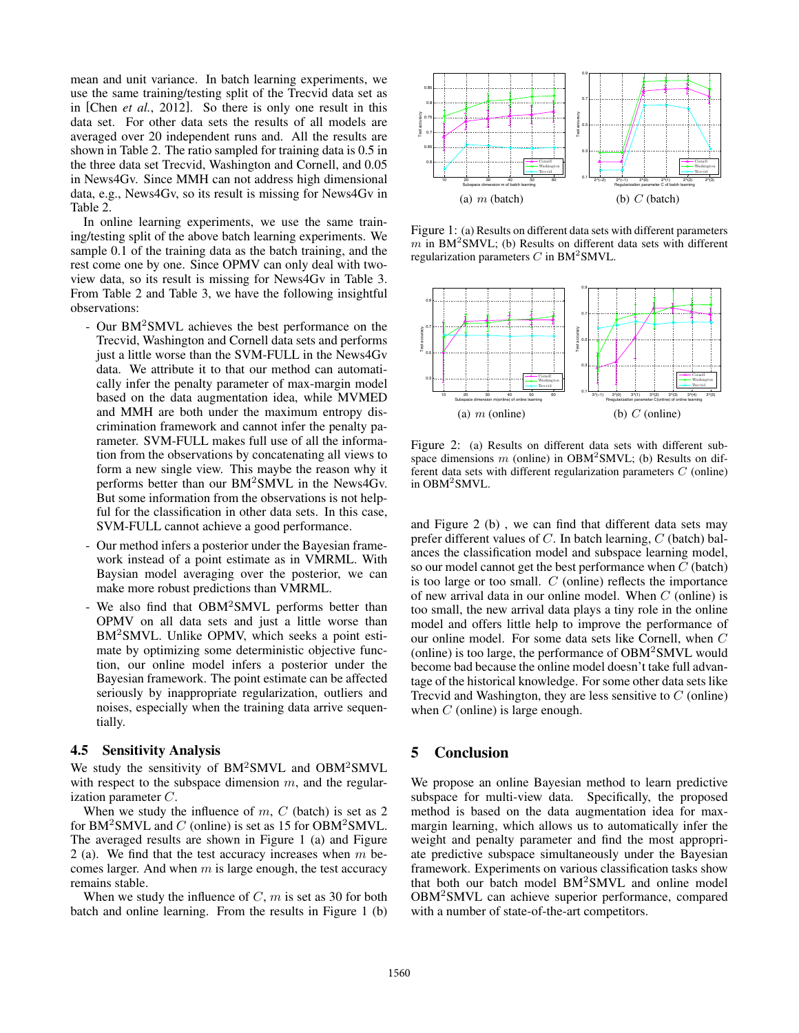mean and unit variance. In batch learning experiments, we use the same training/testing split of the Trecvid data set as in [Chen *et al.*, 2012]. So there is only one result in this data set. For other data sets the results of all models are averaged over 20 independent runs and. All the results are shown in Table 2. The ratio sampled for training data is 0.5 in the three data set Trecvid, Washington and Cornell, and 0.05 in News4Gv. Since MMH can not address high dimensional data, e.g., News4Gv, so its result is missing for News4Gv in Table 2.

In online learning experiments, we use the same training/testing split of the above batch learning experiments. We sample 0.1 of the training data as the batch training, and the rest come one by one. Since OPMV can only deal with twoview data, so its result is missing for News4Gv in Table 3. From Table 2 and Table 3, we have the following insightful observations:

- Our BM<sup>2</sup>SMVL achieves the best performance on the Trecvid, Washington and Cornell data sets and performs just a little worse than the SVM-FULL in the News4Gv data. We attribute it to that our method can automatically infer the penalty parameter of max-margin model based on the data augmentation idea, while MVMED and MMH are both under the maximum entropy discrimination framework and cannot infer the penalty parameter. SVM-FULL makes full use of all the information from the observations by concatenating all views to form a new single view. This maybe the reason why it performs better than our BM<sup>2</sup>SMVL in the News4Gv. But some information from the observations is not helpful for the classification in other data sets. In this case, SVM-FULL cannot achieve a good performance.
- Our method infers a posterior under the Bayesian framework instead of a point estimate as in VMRML. With Baysian model averaging over the posterior, we can make more robust predictions than VMRML.
- We also find that OBM<sup>2</sup>SMVL performs better than OPMV on all data sets and just a little worse than BM<sup>2</sup>SMVL. Unlike OPMV, which seeks a point estimate by optimizing some deterministic objective function, our online model infers a posterior under the Bayesian framework. The point estimate can be affected seriously by inappropriate regularization, outliers and noises, especially when the training data arrive sequentially.

#### 4.5 Sensitivity Analysis

We study the sensitivity of BM<sup>2</sup>SMVL and OBM<sup>2</sup>SMVL with respect to the subspace dimension *m*, and the regularization parameter *C*.

When we study the influence of *m*, *C* (batch) is set as 2 for BM<sup>2</sup>SMVL and  $C$  (online) is set as 15 for OBM<sup>2</sup>SMVL. The averaged results are shown in Figure 1 (a) and Figure 2 (a). We find that the test accuracy increases when *m* becomes larger. And when *m* is large enough, the test accuracy remains stable.

When we study the influence of *C*, *m* is set as 30 for both batch and online learning. From the results in Figure 1 (b)



Figure 1: (a) Results on different data sets with different parameters  $m$  in BM<sup>2</sup>SMVL; (b) Results on different data sets with different regularization parameters  $C$  in BM<sup>2</sup>SMVL.



Figure 2: (a) Results on different data sets with different subspace dimensions  $m$  (online) in OBM<sup>2</sup>SMVL; (b) Results on different data sets with different regularization parameters *C* (online) in OBM<sup>2</sup>SMVL.

and Figure 2 (b) , we can find that different data sets may prefer different values of *C*. In batch learning, *C* (batch) balances the classification model and subspace learning model, so our model cannot get the best performance when *C* (batch) is too large or too small. *C* (online) reflects the importance of new arrival data in our online model. When *C* (online) is too small, the new arrival data plays a tiny role in the online model and offers little help to improve the performance of our online model. For some data sets like Cornell, when *C* (online) is too large, the performance of OBM<sup>2</sup>SMVL would become bad because the online model doesn't take full advantage of the historical knowledge. For some other data sets like Trecvid and Washington, they are less sensitive to *C* (online) when *C* (online) is large enough.

# 5 Conclusion

We propose an online Bayesian method to learn predictive subspace for multi-view data. Specifically, the proposed method is based on the data augmentation idea for maxmargin learning, which allows us to automatically infer the weight and penalty parameter and find the most appropriate predictive subspace simultaneously under the Bayesian framework. Experiments on various classification tasks show that both our batch model BM<sup>2</sup>SMVL and online model OBM<sup>2</sup>SMVL can achieve superior performance, compared with a number of state-of-the-art competitors.